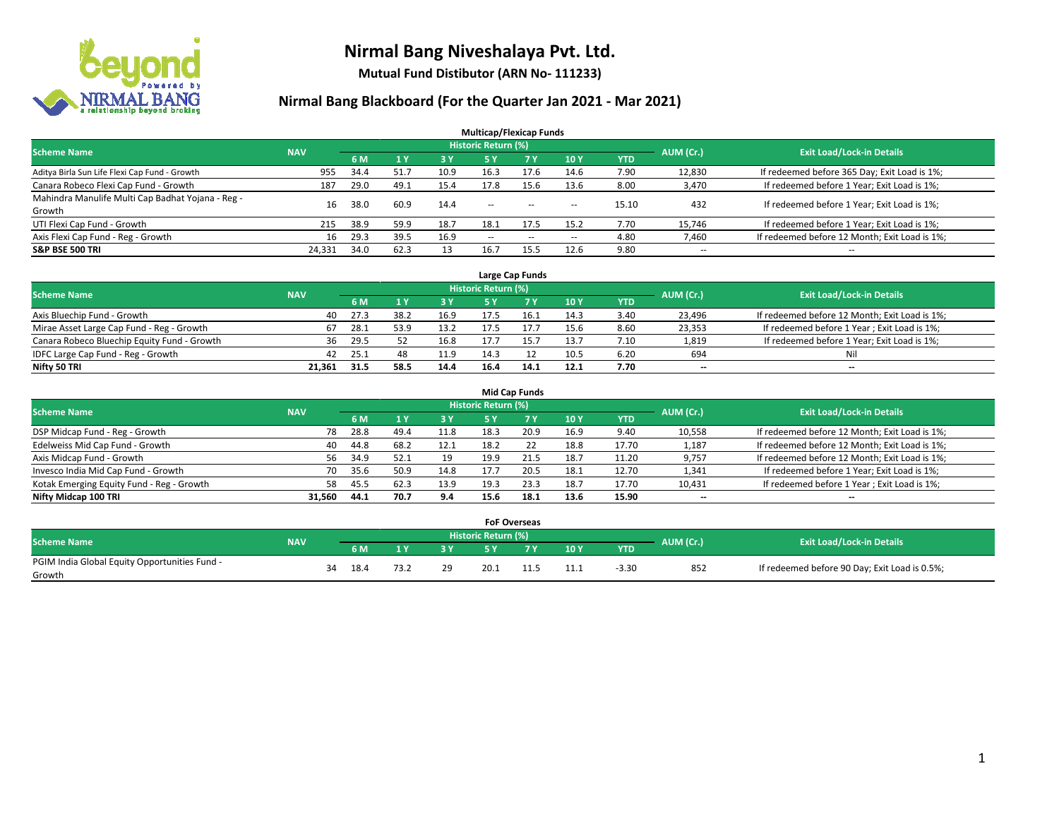

**Mutual Fund Distibutor (ARN No- 111233)**

| <b>Multicap/Flexicap Funds</b>                    |            |      |       |      |                            |       |                          |            |                          |                                               |  |  |  |
|---------------------------------------------------|------------|------|-------|------|----------------------------|-------|--------------------------|------------|--------------------------|-----------------------------------------------|--|--|--|
| <b>Scheme Name</b>                                | <b>NAV</b> |      |       |      | <b>Historic Return (%)</b> |       |                          |            | AUM (Cr.)                | <b>Exit Load/Lock-in Details</b>              |  |  |  |
|                                                   |            | 6 M  | $-1V$ | 3 Y  | <b>5Y</b>                  | 7 Y   | 10Y                      | <b>YTD</b> |                          |                                               |  |  |  |
| Aditya Birla Sun Life Flexi Cap Fund - Growth     | 955        | 34.4 | 51.7  | 10.9 | 16.3                       | 17.6  | 14.6                     | 7.90       | 12,830                   | If redeemed before 365 Day; Exit Load is 1%;  |  |  |  |
| Canara Robeco Flexi Cap Fund - Growth             | 187        | 29.0 | 49.1  | 15.4 | 17.8                       | 15.6  | 13.6                     | 8.00       | 3,470                    | If redeemed before 1 Year; Exit Load is 1%;   |  |  |  |
| Mahindra Manulife Multi Cap Badhat Yojana - Reg - | 16         | 38.0 | 60.9  | 14.4 | $\sim$                     |       |                          | 15.10      | 432                      | If redeemed before 1 Year; Exit Load is 1%;   |  |  |  |
| Growth                                            |            |      |       |      |                            | $- -$ | $\overline{\phantom{a}}$ |            |                          |                                               |  |  |  |
| UTI Flexi Cap Fund - Growth                       | 215        | 38.9 | 59.9  | 18.7 | 18.1                       | 17.5  | 15.2                     | 7.70       | 15,746                   | If redeemed before 1 Year; Exit Load is 1%;   |  |  |  |
| Axis Flexi Cap Fund - Reg - Growth                | 16         | 29.3 | 39.5  | 16.9 | $\overline{\phantom{a}}$   | $-$   | $\overline{\phantom{a}}$ | 4.80       | 7,460                    | If redeemed before 12 Month; Exit Load is 1%; |  |  |  |
| <b>S&amp;P BSE 500 TRI</b>                        | 24,331     | 34.0 | 62.3  | 13   | 16.7                       | 15.5  | 12.6                     | 9.80       | $\overline{\phantom{a}}$ | $- -$                                         |  |  |  |

|                                             |            |      |      |      |                     | Large Cap Funds |      |      |           |                                               |
|---------------------------------------------|------------|------|------|------|---------------------|-----------------|------|------|-----------|-----------------------------------------------|
| <b>Scheme Name</b>                          | <b>NAV</b> |      |      |      | Historic Return (%) |                 |      |      | AUM (Cr.) | <b>Exit Load/Lock-in Details</b>              |
|                                             |            | 6 M  |      | 3Y   |                     | 7 Y             | 10Y  | YTD  |           |                                               |
| Axis Bluechip Fund - Growth                 | 40         | 27.3 | 38.2 | 16.9 | 17.5                | 16.1            | 14.3 | 3.40 | 23,496    | If redeemed before 12 Month; Exit Load is 1%; |
| Mirae Asset Large Cap Fund - Reg - Growth   | 67         | 28.1 | 53.9 | 13.2 |                     |                 | 15.6 | 8.60 | 23,353    | If redeemed before 1 Year; Exit Load is 1%;   |
| Canara Robeco Bluechip Equity Fund - Growth | 36         | 29.5 |      | 16.8 |                     |                 | 13.7 | 7.10 | 1,819     | If redeemed before 1 Year; Exit Load is 1%;   |
| IDFC Large Cap Fund - Reg - Growth          | 42         | د.25 |      | 11.9 | 14.3                |                 | 10.5 | 6.20 | 694       | Nil                                           |
| Nifty 50 TRI                                | 21.361     | 31.5 | 58.5 | 14.4 | 16.4                | 14.1            | 12.1 | 7.70 | $- -$     | $\overline{\phantom{a}}$                      |

| <b>Mid Cap Funds</b>                      |            |            |                                  |           |      |      |      |            |                          |                                               |  |  |  |  |
|-------------------------------------------|------------|------------|----------------------------------|-----------|------|------|------|------------|--------------------------|-----------------------------------------------|--|--|--|--|
| <b>Scheme Name</b>                        | <b>NAV</b> | AUM (Cr.)  | <b>Exit Load/Lock-in Details</b> |           |      |      |      |            |                          |                                               |  |  |  |  |
|                                           |            | 6 M        |                                  | <b>3Y</b> | 5 Y  |      | 10Y  | <b>YTD</b> |                          |                                               |  |  |  |  |
| DSP Midcap Fund - Reg - Growth            |            | 28.8<br>78 | 49.4                             | 11.8      | 18.3 | 20.9 | 16.9 | 9.40       | 10,558                   | If redeemed before 12 Month; Exit Load is 1%; |  |  |  |  |
| Edelweiss Mid Cap Fund - Growth           |            | 44.8<br>40 | 68.2                             | 12.1      | 18.2 |      | 18.8 | 17.70      | 1,187                    | If redeemed before 12 Month; Exit Load is 1%; |  |  |  |  |
| Axis Midcap Fund - Growth                 |            | 56<br>34.9 | 52.1                             | 19        | 19.9 |      | 18.7 | 11.20      | 9,757                    | If redeemed before 12 Month; Exit Load is 1%; |  |  |  |  |
| Invesco India Mid Cap Fund - Growth       |            | 35.6<br>70 | 50.9                             | 14.8      | 17.7 | 20.5 | 18.1 | 12.70      | 1,341                    | If redeemed before 1 Year; Exit Load is 1%;   |  |  |  |  |
| Kotak Emerging Equity Fund - Reg - Growth |            | 45.5<br>58 | 62.3                             | 13.9      | 19.3 | 23.3 | 18.7 | 17.70      | 10,431                   | If redeemed before 1 Year; Exit Load is 1%;   |  |  |  |  |
| Nifty Midcap 100 TRI                      | 31.560     | 44.1       | 70.7                             | 9.4       | 15.6 | 18.1 | 13.6 | 15.90      | $\overline{\phantom{m}}$ | $\overline{\phantom{a}}$                      |  |  |  |  |

|                                                         |            |    |      |      |     | <b>FoF Overseas</b> |     |                |            |           |                                               |
|---------------------------------------------------------|------------|----|------|------|-----|---------------------|-----|----------------|------------|-----------|-----------------------------------------------|
| Scheme Name                                             | <b>NAV</b> |    |      |      |     | Historic Return (%) |     |                |            | AUM (Cr.) | <b>Exit Load/Lock-in Details</b>              |
|                                                         |            |    | 6 M  |      | ש כ |                     | 7 V | 10Y            | <b>YTD</b> |           |                                               |
| PGIM India Global Equity Opportunities Fund -<br>Growth |            | 34 | 18.4 | 73.1 | 29  | 20.1                |     | 111<br><b></b> | $-3.30$    | 852       | If redeemed before 90 Day; Exit Load is 0.5%; |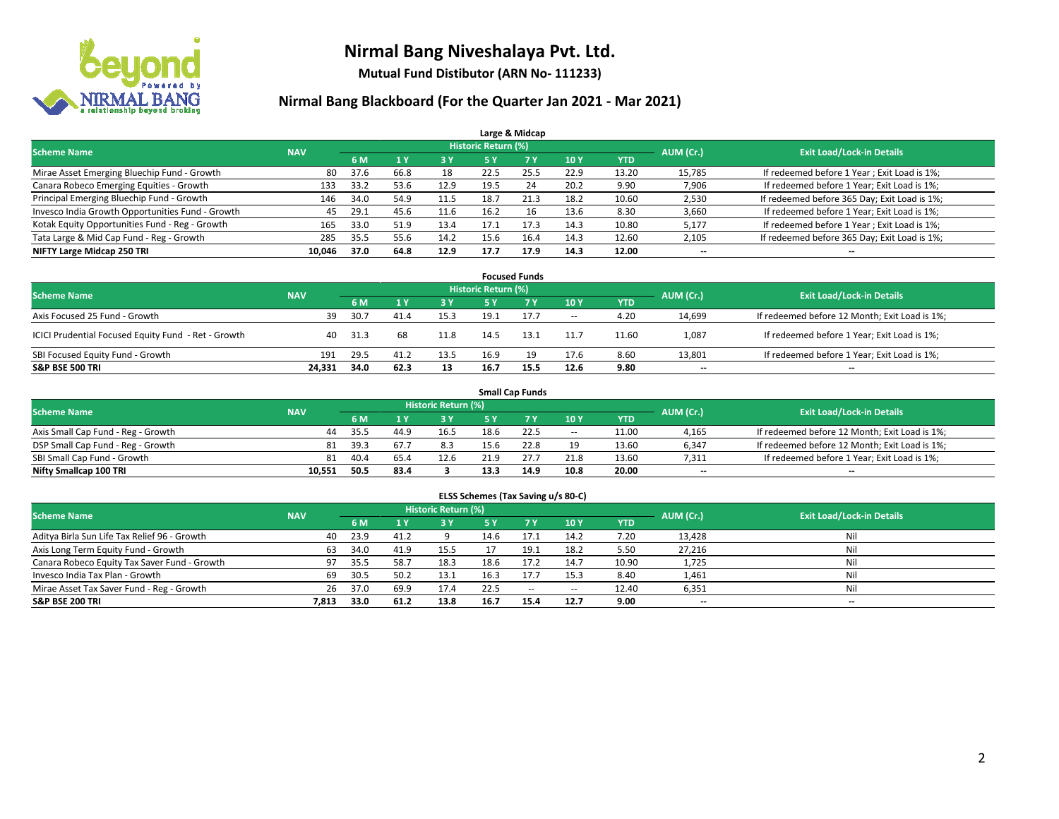

**Mutual Fund Distibutor (ARN No- 111233)**

|                                                  |            |      |              |      |                            | Large & Midcap |      |            |           |                                              |
|--------------------------------------------------|------------|------|--------------|------|----------------------------|----------------|------|------------|-----------|----------------------------------------------|
| <b>Scheme Name</b>                               | <b>NAV</b> |      |              |      | <b>Historic Return (%)</b> |                |      |            | AUM (Cr.) | <b>Exit Load/Lock-in Details</b>             |
|                                                  |            | 6 M  | $\sqrt{1}$ Y | 3 Y  | <b>5 Y</b>                 | 7 <sup>V</sup> | 10Y  | <b>YTD</b> |           |                                              |
| Mirae Asset Emerging Bluechip Fund - Growth      | 80         | 37.6 | 66.8         | 18   | 22.5                       | 25.5           | 22.9 | 13.20      | 15,785    | If redeemed before 1 Year; Exit Load is 1%;  |
| Canara Robeco Emerging Equities - Growth         | 133        | 33.2 | 53.6         | 12.9 | 19.5                       | 24             | 20.2 | 9.90       | 7,906     | If redeemed before 1 Year; Exit Load is 1%;  |
| Principal Emerging Bluechip Fund - Growth        | 146        | 34.0 | 54.9         | 11.5 | 18.7                       | 21.3           | 18.2 | 10.60      | 2,530     | If redeemed before 365 Day; Exit Load is 1%; |
| Invesco India Growth Opportunities Fund - Growth | 45         | 29.1 | 45.6         | 11.6 | 16.2                       | 16             | 13.6 | 8.30       | 3,660     | If redeemed before 1 Year; Exit Load is 1%;  |
| Kotak Equity Opportunities Fund - Reg - Growth   | 165        | 33.0 | 51.9         | 13.4 | 17.1                       | 17.3           | 14.3 | 10.80      | 5,177     | If redeemed before 1 Year; Exit Load is 1%;  |
| Tata Large & Mid Cap Fund - Reg - Growth         | 285        | 35.5 | 55.6         | 14.2 | 15.6                       | 16.4           | 14.3 | 12.60      | 2,105     | If redeemed before 365 Day; Exit Load is 1%; |
| NIFTY Large Midcap 250 TRI                       | 10.046     | 37.0 | 64.8         | 12.9 | 17.7                       | 17.9           | 14.3 | 12.00      | --        | --                                           |

|                                                     |            |      |      |      |                     | <b>Focused Funds</b> |        |            |           |                                               |
|-----------------------------------------------------|------------|------|------|------|---------------------|----------------------|--------|------------|-----------|-----------------------------------------------|
| <b>Scheme Name</b>                                  | <b>NAV</b> |      |      |      | Historic Return (%) |                      |        |            | AUM (Cr.) | <b>Exit Load/Lock-in Details</b>              |
|                                                     |            | 6 M  |      | 3 Y  | 5 Y                 |                      | 10Y    | <b>YTD</b> |           |                                               |
| Axis Focused 25 Fund - Growth                       | 39         | 30.7 | 41.4 | 15.3 | 19.1                | 17.7                 | $\sim$ | 4.20       | 14,699    | If redeemed before 12 Month; Exit Load is 1%; |
| ICICI Prudential Focused Equity Fund - Ret - Growth | 40         | 31.3 | 68   | 11.8 | 14.5                | 13.1                 | 11.7   | 11.60      | 1,087     | If redeemed before 1 Year; Exit Load is 1%;   |
| SBI Focused Equity Fund - Growth                    | 191        | 29.5 | 41.2 | 13.5 | 16.9                | 19                   | 17.6   | 8.60       | 13,801    | If redeemed before 1 Year; Exit Load is 1%;   |
| <b>S&amp;P BSE 500 TRI</b>                          | 24.331     | 34.0 | 62.3 | 13   | 16.7                | 15.5                 | 12.6   | 9.80       | $- -$     | $\overline{\phantom{a}}$                      |

|                                    |            |      |      |                     |      | <b>Small Cap Funds</b> |        |       |           |                                               |
|------------------------------------|------------|------|------|---------------------|------|------------------------|--------|-------|-----------|-----------------------------------------------|
| <b>Scheme Name</b>                 | <b>NAV</b> |      |      | Historic Return (%) |      |                        |        |       | AUM (Cr.) | <b>Exit Load/Lock-in Details</b>              |
|                                    |            | 6 M  |      | 73 Y.               |      |                        | 10Y    | YTD   |           |                                               |
| Axis Small Cap Fund - Reg - Growth | 44         | 35.5 | 44.9 | 16.5                | 18.6 | 22.5                   | $\sim$ | 11.00 | 4,165     | If redeemed before 12 Month; Exit Load is 1%; |
| DSP Small Cap Fund - Reg - Growth  | 81         | 39.3 | 67.  | 8.3                 | 15.6 |                        | 19     | 13.60 | 6,347     | If redeemed before 12 Month; Exit Load is 1%; |
| SBI Small Cap Fund - Growth        | 81         | 40.4 | 65.4 | 12.6                | 21.9 |                        | 21.8   | 13.60 | 7,311     | If redeemed before 1 Year; Exit Load is 1%;   |
| Nifty Smallcap 100 TRI             | 10.551     | 50.5 | 83.4 |                     | 13.3 | 14.9                   | 10.8   | 20.00 | $- -$     | $\overline{\phantom{a}}$                      |

| ELSS Schemes (Tax Saving u/s 80-C)           |                                  |      |      |      |           |        |            |            |           |     |  |  |  |
|----------------------------------------------|----------------------------------|------|------|------|-----------|--------|------------|------------|-----------|-----|--|--|--|
| <b>Scheme Name</b>                           | <b>Exit Load/Lock-in Details</b> |      |      |      |           |        |            |            |           |     |  |  |  |
|                                              | <b>NAV</b>                       | 6 M  | 71 Y | 3 Y  | <b>5Y</b> | 7V     | <b>10Y</b> | <b>YTD</b> | AUM (Cr.) |     |  |  |  |
| Aditya Birla Sun Life Tax Relief 96 - Growth | 40                               | 23.9 | 41.2 |      | 14.6      |        | 14.2       | 7.20       | 13,428    | Nil |  |  |  |
| Axis Long Term Equity Fund - Growth          | 63                               | 34.0 | 41.9 | 15.5 |           | 19.1   | 18.2       | 5.50       | 27,216    | Nil |  |  |  |
| Canara Robeco Equity Tax Saver Fund - Growth | 97                               | 35.5 | 58.7 | 18.3 | 18.6      | 17.2   | 14.7       | 10.90      | 1,725     | Nil |  |  |  |
| Invesco India Tax Plan - Growth              | 69                               | 30.5 | 50.2 | 13.1 | 16.3      | 17.7   | 15.3       | 8.40       | 1,461     | Nil |  |  |  |
| Mirae Asset Tax Saver Fund - Reg - Growth    | 26                               | 37.0 | 69.9 | 17.4 | 22.5      | $\sim$ | $\sim$     | 12.40      | 6,351     | Nil |  |  |  |
| S&P BSE 200 TRI                              | 7,813                            | 33.0 | 61.2 | 13.8 | 16.7      | 15.4   | 12.7       | 9.00       | $- -$     | $-$ |  |  |  |
|                                              |                                  |      |      |      |           |        |            |            |           |     |  |  |  |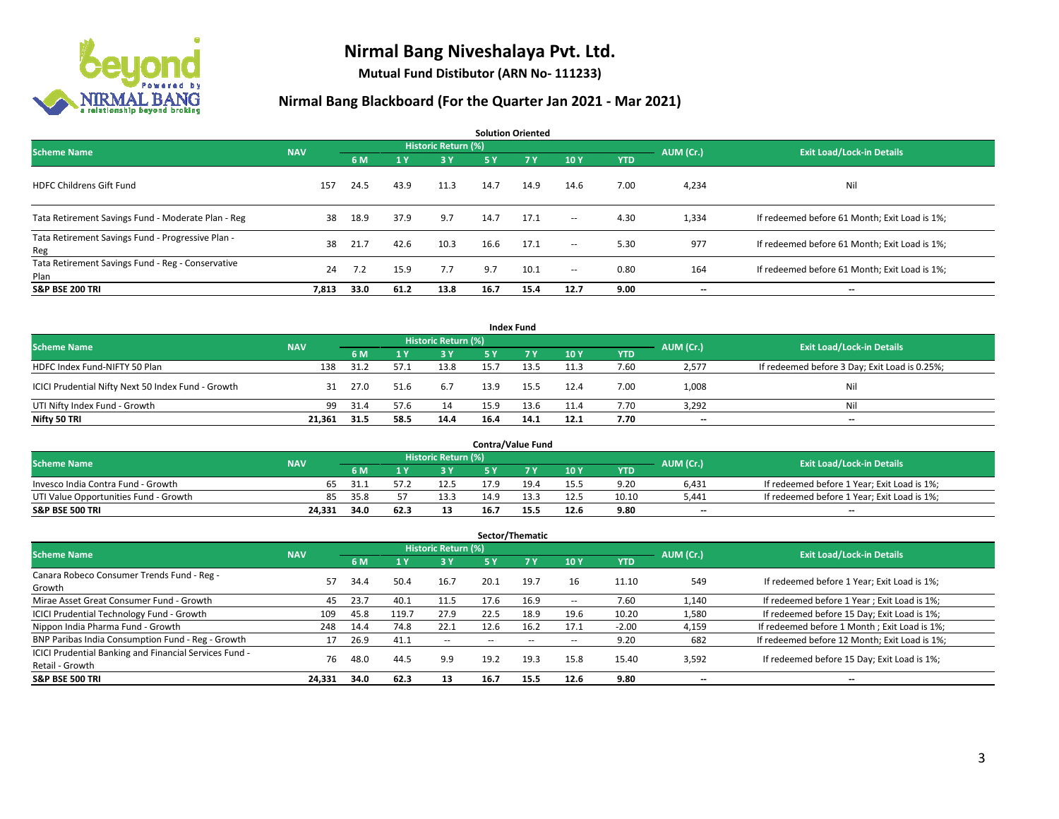

**Mutual Fund Distibutor (ARN No- 111233)**

| <b>Solution Oriented</b>                                  |            |      |      |                            |            |           |                          |            |           |                                               |  |  |
|-----------------------------------------------------------|------------|------|------|----------------------------|------------|-----------|--------------------------|------------|-----------|-----------------------------------------------|--|--|
| <b>Scheme Name</b>                                        | <b>NAV</b> |      |      | <b>Historic Return (%)</b> |            |           |                          |            | AUM (Cr.) | <b>Exit Load/Lock-in Details</b>              |  |  |
|                                                           |            | 6 M  | 1Y   | 3 Y                        | <b>5 Y</b> | <b>7Y</b> | 10Y                      | <b>YTD</b> |           |                                               |  |  |
| <b>HDFC Childrens Gift Fund</b>                           | 157        | 24.5 | 43.9 | 11.3                       | 14.7       | 14.9      | 14.6                     | 7.00       | 4,234     | Nil                                           |  |  |
| Tata Retirement Savings Fund - Moderate Plan - Reg        | 38         | 18.9 | 37.9 | 9.7                        | 14.7       | 17.1      | $\sim$                   | 4.30       | 1,334     | If redeemed before 61 Month; Exit Load is 1%; |  |  |
| Tata Retirement Savings Fund - Progressive Plan -<br>Reg  | 38         | 21.7 | 42.6 | 10.3                       | 16.6       | 17.1      | $\sim$                   | 5.30       | 977       | If redeemed before 61 Month; Exit Load is 1%; |  |  |
| Tata Retirement Savings Fund - Reg - Conservative<br>Plan | 24         | 7.2  | 15.9 | 7.7                        | 9.7        | 10.1      | $\overline{\phantom{a}}$ | 0.80       | 164       | If redeemed before 61 Month; Exit Load is 1%; |  |  |
| <b>S&amp;P BSE 200 TRI</b>                                | 7,813      | 33.0 | 61.2 | 13.8                       | 16.7       | 15.4      | 12.7                     | 9.00       | --        | $\hspace{0.05cm}$                             |  |  |

| <b>Index Fund</b>                                  |            |      |      |                     |           |            |      |            |                          |                                               |  |  |  |
|----------------------------------------------------|------------|------|------|---------------------|-----------|------------|------|------------|--------------------------|-----------------------------------------------|--|--|--|
| <b>Scheme Name</b>                                 | <b>NAV</b> |      |      | Historic Return (%) |           |            |      |            | AUM (Cr.)                | <b>Exit Load/Lock-in Details</b>              |  |  |  |
|                                                    |            | 6 M  |      | <b>3Y</b>           | <b>5Y</b> | <b>7 Y</b> | 10Y  | <b>YTD</b> |                          |                                               |  |  |  |
| HDFC Index Fund-NIFTY 50 Plan                      | 138        | 31.2 | 57.1 | 13.8                | 15.7      | 13.5       | 11.3 | 7.60       | 2,577                    | If redeemed before 3 Day; Exit Load is 0.25%; |  |  |  |
| ICICI Prudential Nifty Next 50 Index Fund - Growth | 31         | 27.0 | 51.6 | 6.7                 | 13.9      | 15.5       | 12.4 | 7.00       | 1,008                    | Nil                                           |  |  |  |
| UTI Nifty Index Fund - Growth                      | 99         | 31.4 | 57.6 | 14                  | 15.9      | 13.6       | 11.4 | 7.70       | 3,292                    | Nil                                           |  |  |  |
| Nifty 50 TRI                                       | 21,361     | 31.5 | 58.5 | 14.4                | 16.4      | 14.1       | 12.1 | 7.70       | $\overline{\phantom{a}}$ | $\overline{\phantom{a}}$                      |  |  |  |

|                                       |            |       |      |                            |      | <b>Contra/Value Fund</b> |      |       |           |                                             |
|---------------------------------------|------------|-------|------|----------------------------|------|--------------------------|------|-------|-----------|---------------------------------------------|
| <b>Scheme Name</b>                    | <b>NAV</b> |       |      | <b>Historic Return (%)</b> |      |                          |      |       | AUM (Cr.) | <b>Exit Load/Lock-in Details</b>            |
|                                       |            | 6 M   |      | 3 Y                        |      | 7 V                      | 10Y  | YTD   |           |                                             |
| Invesco India Contra Fund - Growth    | 65         | - 31. |      | 12.5                       | 17.9 | 19 <sub>l</sub>          | 15.5 | 9.20  | 6,431     | If redeemed before 1 Year; Exit Load is 1%; |
| UTI Value Opportunities Fund - Growth | 85         | 35.8  |      | 13.3                       | 14.9 |                          | 12.5 | 10.10 | 5,441     | If redeemed before 1 Year; Exit Load is 1%; |
| <b>S&amp;P BSE 500 TRI</b>            | 24.331     | 34.0  | 62.3 | 13                         | 16.7 | 15.5                     | 12.6 | 9.80  | $- -$     | $-$                                         |

|                                                                           |            |      |                         |                          |      | Sector/Thematic |      |            |           |                                               |
|---------------------------------------------------------------------------|------------|------|-------------------------|--------------------------|------|-----------------|------|------------|-----------|-----------------------------------------------|
| <b>Scheme Name</b>                                                        | <b>NAV</b> |      |                         | Historic Return (%)      |      |                 |      |            | AUM (Cr.) | <b>Exit Load/Lock-in Details</b>              |
|                                                                           |            | 6 M  | $\mathbf{1} \mathbf{v}$ | 3 Y                      | 5 Y  | 7Y              | 10Y  | <b>YTD</b> |           |                                               |
| Canara Robeco Consumer Trends Fund - Reg -<br>Growth                      | 57         | 34.4 | 50.4                    | 16.7                     | 20.1 | 19.7            | 16   | 11.10      | 549       | If redeemed before 1 Year; Exit Load is 1%;   |
| Mirae Asset Great Consumer Fund - Growth                                  | 45         | 23.7 | 40.1                    | 11.5                     | 17.6 | 16.9            | --   | 7.60       | 1.140     | If redeemed before 1 Year; Exit Load is 1%;   |
| <b>ICICI Prudential Technology Fund - Growth</b>                          | 109        | 45.8 | 119.7                   | 27.9                     | 22.5 | 18.9            | 19.6 | 10.20      | 1,580     | If redeemed before 15 Day; Exit Load is 1%;   |
| Nippon India Pharma Fund - Growth                                         | 248        | 14.4 | 74.8                    | 22.1                     | 12.6 | 16.2            | 17.1 | $-2.00$    | 4,159     | If redeemed before 1 Month; Exit Load is 1%;  |
| BNP Paribas India Consumption Fund - Reg - Growth                         |            | 26.9 | 41.1                    | $\overline{\phantom{a}}$ |      |                 | --   | 9.20       | 682       | If redeemed before 12 Month; Exit Load is 1%; |
| ICICI Prudential Banking and Financial Services Fund -<br>Retail - Growth | 76         | 48.0 | 44.5                    | 9.9                      | 19.2 | 19.3            | 15.8 | 15.40      | 3,592     | If redeemed before 15 Day; Exit Load is 1%;   |
| <b>S&amp;P BSE 500 TRI</b>                                                | 24,331     | 34.0 | 62.3                    | 13                       | 16.7 | 15.5            | 12.6 | 9.80       | --        | --                                            |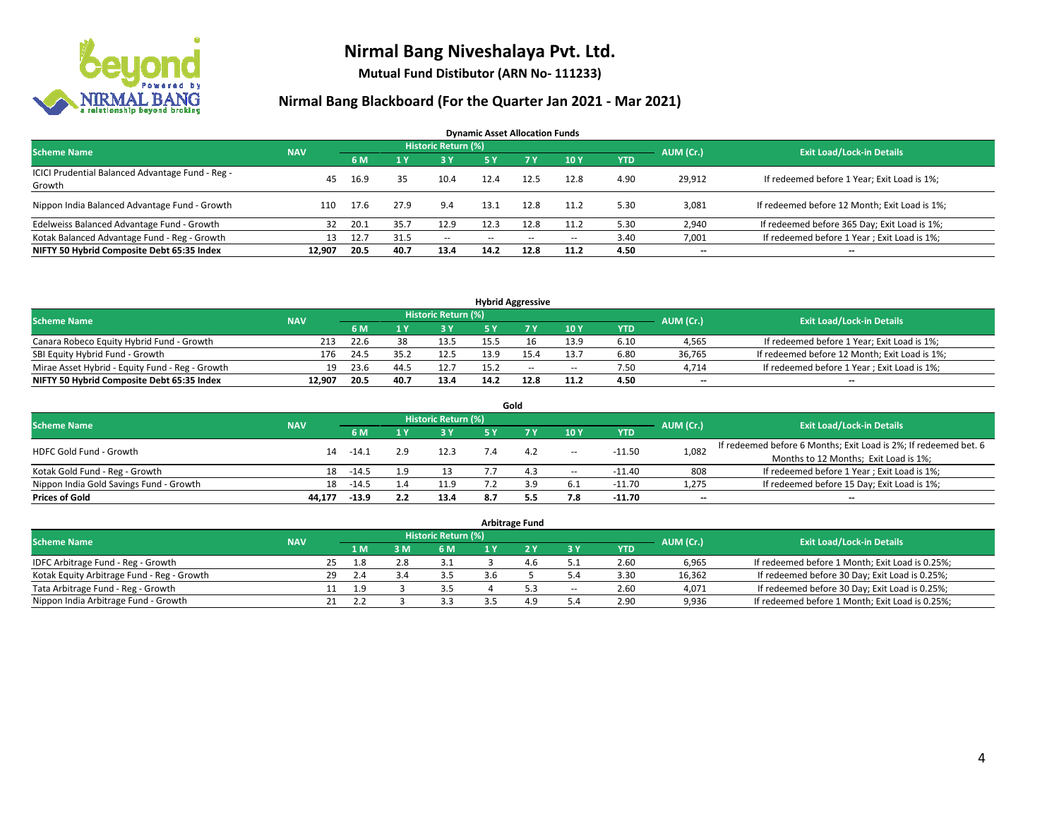

**Mutual Fund Distibutor (ARN No- 111233)**

| <b>Dynamic Asset Allocation Funds</b>                      |            |      |      |                            |           |       |                          |            |                          |                                               |  |  |  |
|------------------------------------------------------------|------------|------|------|----------------------------|-----------|-------|--------------------------|------------|--------------------------|-----------------------------------------------|--|--|--|
| <b>Scheme Name</b>                                         | <b>NAV</b> |      |      | <b>Historic Return (%)</b> |           |       |                          |            | AUM (Cr.)                | <b>Exit Load/Lock-in Details</b>              |  |  |  |
|                                                            |            | 6 M  |      | 73 Y                       | <b>5Y</b> | 7 Y   | 10Y                      | <b>YTD</b> |                          |                                               |  |  |  |
| ICICI Prudential Balanced Advantage Fund - Reg -<br>Growth | 45         | 16.9 | 35   | 10.4                       | 12.4      | 12.5  | 12.8                     | 4.90       | 29,912                   | If redeemed before 1 Year; Exit Load is 1%;   |  |  |  |
| Nippon India Balanced Advantage Fund - Growth              | 110        | 17.6 | 27.9 | 9.4                        | 13.1      | 12.8  | 11.2                     | 5.30       | 3,081                    | If redeemed before 12 Month; Exit Load is 1%; |  |  |  |
| Edelweiss Balanced Advantage Fund - Growth                 | 32         | 20.1 | 35.7 | 12.9                       | 12.3      | 12.8  | 11.2                     | 5.30       | 2,940                    | If redeemed before 365 Day; Exit Load is 1%;  |  |  |  |
| Kotak Balanced Advantage Fund - Reg - Growth               | 13         | 12.7 | 31.5 | $\sim$                     | --        | $- -$ | $\overline{\phantom{a}}$ | 3.40       | 7,001                    | If redeemed before 1 Year; Exit Load is 1%;   |  |  |  |
| NIFTY 50 Hybrid Composite Debt 65:35 Index                 | 12.907     | 20.5 | 40.7 | 13.4                       | 14.2      | 12.8  | 11.2                     | 4.50       | $\overline{\phantom{a}}$ | --                                            |  |  |  |

| <b>Hybrid Aggressive</b>                        |            |      |      |                     |      |      |      |            |           |                                               |  |  |  |
|-------------------------------------------------|------------|------|------|---------------------|------|------|------|------------|-----------|-----------------------------------------------|--|--|--|
| <b>Scheme Name</b>                              | <b>NAV</b> |      |      | Historic Return (%) |      |      |      |            | AUM (Cr.) | <b>Exit Load/Lock-in Details</b>              |  |  |  |
|                                                 |            | 6 M  |      | 3 Y                 |      |      | 10Y  | <b>YTD</b> |           |                                               |  |  |  |
| Canara Robeco Equity Hybrid Fund - Growth       | 213        | 22.6 |      | 13.5                | 15.5 | 16   | 13.9 | 6.10       | 4,565     | If redeemed before 1 Year; Exit Load is 1%;   |  |  |  |
| SBI Equity Hybrid Fund - Growth                 | 176        | 24.5 | 35.3 | 12.5                | 13.9 |      | 13.7 | 6.80       | 36.765    | If redeemed before 12 Month; Exit Load is 1%; |  |  |  |
| Mirae Asset Hybrid - Equity Fund - Reg - Growth | 19         | 23.6 | ا 44 | 12.7                | 15.2 | $-$  | $-$  | 7.50       | 4.714     | If redeemed before 1 Year; Exit Load is 1%;   |  |  |  |
| NIFTY 50 Hybrid Composite Debt 65:35 Index      | 12.907     | 20.5 | 40.7 | 13.4                | 14.2 | 12.8 | 11.2 | 4.50       | $-$       | $- -$                                         |  |  |  |

| Gold                                    |            |         |     |                     |     |           |       |            |           |                                                                  |  |  |  |  |
|-----------------------------------------|------------|---------|-----|---------------------|-----|-----------|-------|------------|-----------|------------------------------------------------------------------|--|--|--|--|
| <b>Scheme Name</b>                      | <b>NAV</b> |         |     | Historic Return (%) |     |           |       |            | AUM (Cr.) | <b>Exit Load/Lock-in Details</b>                                 |  |  |  |  |
|                                         |            | 6 M     |     | 73 Y.               | 5 Y |           | 10Y   | <b>YTD</b> |           |                                                                  |  |  |  |  |
| <b>HDFC Gold Fund - Growth</b>          | 14         | -14.⊥   |     | 12.3                |     |           | $\!-$ | $-11.50$   | 1,082     | If redeemed before 6 Months; Exit Load is 2%; If redeemed bet. 6 |  |  |  |  |
|                                         |            |         |     |                     |     |           |       |            |           | Months to 12 Months; Exit Load is 1%;                            |  |  |  |  |
| Kotak Gold Fund - Reg - Growth          | 18         | $-14.5$ | 1.9 |                     |     |           | $\!-$ | $-11.40$   | 808       | If redeemed before 1 Year; Exit Load is 1%;                      |  |  |  |  |
| Nippon India Gold Savings Fund - Growth | 18         | $-14.5$ |     | 11.9                |     | <b>20</b> | 6.1   | $-11.70$   | 1,275     | If redeemed before 15 Day; Exit Load is 1%;                      |  |  |  |  |
| <b>Prices of Gold</b>                   | 44.177     | $-13.9$ | 2.2 | 13.4                | 8.7 |           | 7.8   | $-11.70$   | --        | $- -$                                                            |  |  |  |  |

| <b>Arbitrage Fund</b>                      |            |     |     |     |                     |  |     |                          |            |           |                                                 |  |  |
|--------------------------------------------|------------|-----|-----|-----|---------------------|--|-----|--------------------------|------------|-----------|-------------------------------------------------|--|--|
| <b>Scheme Name</b>                         | <b>NAV</b> |     |     |     | Historic Return (%) |  |     |                          |            | AUM (Cr.) | <b>Exit Load/Lock-in Details</b>                |  |  |
|                                            |            |     | 1 M | 3 M | 6 M                 |  |     | 3 Y                      | <b>YTD</b> |           |                                                 |  |  |
| IDFC Arbitrage Fund - Reg - Growth         |            | -25 | L.8 | 2.8 | 3.1                 |  | 4.6 | , ⊥                      | 2.60       | 6,965     | If redeemed before 1 Month; Exit Load is 0.25%; |  |  |
| Kotak Equity Arbitrage Fund - Reg - Growth |            | 29  | 2.4 |     | 3.5                 |  |     |                          | 3.30       | 16,362    | If redeemed before 30 Day; Exit Load is 0.25%;  |  |  |
| Tata Arbitrage Fund - Reg - Growth         |            |     | 1.9 |     | 3.5                 |  | 53  | $\overline{\phantom{a}}$ | 2.60       | 4,071     | If redeemed before 30 Day; Exit Load is 0.25%;  |  |  |
| Nippon India Arbitrage Fund - Growth       |            |     |     |     | 3.3                 |  | 4.9 | 5.4                      | 2.90       | 9,936     | If redeemed before 1 Month; Exit Load is 0.25%; |  |  |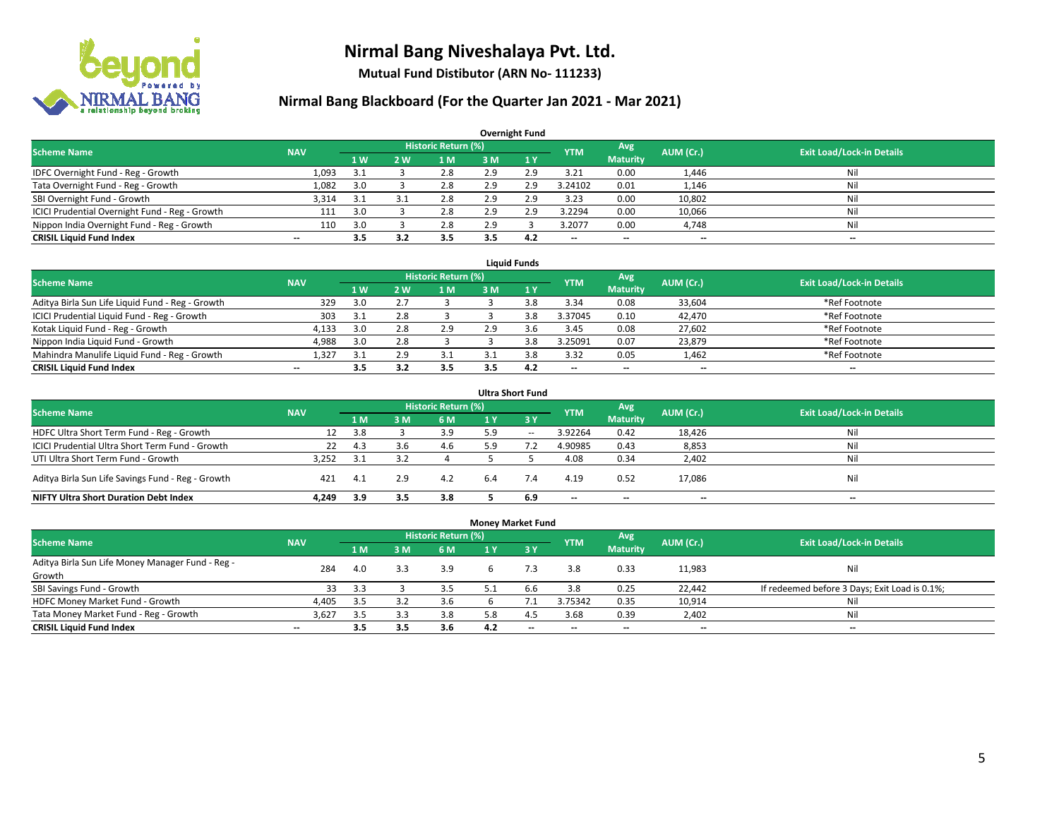

**Mutual Fund Distibutor (ARN No- 111233)**

| <b>Overnight Fund</b>                          |            |                |     |                     |     |     |                          |                 |           |                                  |  |  |  |  |
|------------------------------------------------|------------|----------------|-----|---------------------|-----|-----|--------------------------|-----------------|-----------|----------------------------------|--|--|--|--|
| <b>Scheme Name</b>                             | <b>NAV</b> |                |     | Historic Return (%) |     |     | <b>YTM</b>               | Avg             | AUM (Cr.) | <b>Exit Load/Lock-in Details</b> |  |  |  |  |
|                                                |            | 1 <sub>W</sub> | 2 W | 1 M'                | 3 M | 1Y  |                          | <b>Maturity</b> |           |                                  |  |  |  |  |
| IDFC Overnight Fund - Reg - Growth             | 1,093      | 3.1            |     | 2.8                 | 2.9 | 2.9 | 3.21                     | 0.00            | 1,446     | Nil                              |  |  |  |  |
| Tata Overnight Fund - Reg - Growth             | 1,082      | 3.0            |     | 2.8                 | 2.9 | 2.9 | 3.24102                  | 0.01            | 1,146     | Nil                              |  |  |  |  |
| SBI Overnight Fund - Growth                    | 3,314      | 3.1            | 3.1 | 2.8                 | 2.9 | 2.9 | 3.23                     | 0.00            | 10,802    | Nil                              |  |  |  |  |
| ICICI Prudential Overnight Fund - Reg - Growth | 111        | 3.0            |     | 2.8                 | 2.9 | 2.9 | 3.2294                   | 0.00            | 10,066    | Nil                              |  |  |  |  |
| Nippon India Overnight Fund - Reg - Growth     | 110        | 3.0            |     | 2.8                 | 2.9 |     | 3.2077                   | 0.00            | 4,748     | Nil                              |  |  |  |  |
| <b>CRISIL Liquid Fund Index</b>                | --         | 3.5            | 3.2 | 3.5                 | 3.5 | 4.2 | $\overline{\phantom{a}}$ | --              | $- -$     | --                               |  |  |  |  |

| <b>Liquid Funds</b>                              |            |                |     |                     |     |     |                          |                          |           |                                  |  |  |  |
|--------------------------------------------------|------------|----------------|-----|---------------------|-----|-----|--------------------------|--------------------------|-----------|----------------------------------|--|--|--|
| <b>Scheme Name</b>                               | <b>NAV</b> |                |     | Historic Return (%) |     |     | <b>YTM</b>               | Avg                      | AUM (Cr.) | <b>Exit Load/Lock-in Details</b> |  |  |  |
|                                                  |            | 1 <sub>W</sub> | 2 W | 1 M                 | з м |     |                          | <b>Maturity</b>          |           |                                  |  |  |  |
| Aditya Birla Sun Life Liquid Fund - Reg - Growth | 329        | 3.0            |     |                     |     |     | 3.34                     | 0.08                     | 33,604    | *Ref Footnote                    |  |  |  |
| ICICI Prudential Liquid Fund - Reg - Growth      | 303        | 3.1            | ിറ  |                     |     | 3.8 | 3.37045                  | 0.10                     | 42,470    | *Ref Footnote                    |  |  |  |
| Kotak Liquid Fund - Reg - Growth                 | 4,133      | 3.0            | 2.8 | 2.9                 | 2.9 |     | 3.45                     | 0.08                     | 27,602    | *Ref Footnote                    |  |  |  |
| Nippon India Liquid Fund - Growth                | 4,988      | 3.0            |     |                     |     |     | 3.25091                  | 0.07                     | 23,879    | *Ref Footnote                    |  |  |  |
| Mahindra Manulife Liquid Fund - Reg - Growth     | 1.327      | 3.1            | 2.9 |                     |     |     | 3.32                     | 0.05                     | 1,462     | *Ref Footnote                    |  |  |  |
| <b>CRISIL Liquid Fund Index</b>                  | $- -$      | 3.5            |     | 3.5                 |     | 4.2 | $\overline{\phantom{a}}$ | $\overline{\phantom{a}}$ | $-$       | $-$                              |  |  |  |

| <b>Ultra Short Fund</b>                           |            |     |                |                            |     |        |                          |                          |           |                                  |  |  |  |
|---------------------------------------------------|------------|-----|----------------|----------------------------|-----|--------|--------------------------|--------------------------|-----------|----------------------------------|--|--|--|
| <b>Scheme Name</b>                                | <b>NAV</b> |     |                | <b>Historic Return (%)</b> |     |        | <b>YTM</b>               | Avg                      | AUM (Cr.) | <b>Exit Load/Lock-in Details</b> |  |  |  |
|                                                   |            | 1 M | 3 <sub>M</sub> | 6 M                        | 1 Y | 3Y     |                          | <b>Maturity</b>          |           |                                  |  |  |  |
| HDFC Ultra Short Term Fund - Reg - Growth         | 12         | 3.8 |                | 3.9                        | 5.9 | $\sim$ | 3.92264                  | 0.42                     | 18,426    | Nil                              |  |  |  |
| ICICI Prudential Ultra Short Term Fund - Growth   | 22         | 4.3 | 3.6            | 4.6                        | 5.9 |        | 4.90985                  | 0.43                     | 8,853     | Nil                              |  |  |  |
| UTI Ultra Short Term Fund - Growth                | 3.252      | 3.1 |                |                            |     |        | 4.08                     | 0.34                     | 2,402     | Ni                               |  |  |  |
| Aditya Birla Sun Life Savings Fund - Reg - Growth | 421        | 4.1 |                | 4.2                        | 6.4 | 7.4    | 4.19                     | 0.52                     | 17,086    | Nil                              |  |  |  |
| <b>NIFTY Ultra Short Duration Debt Index</b>      | 4.249      | 3.9 | 3.5            | 3.8                        |     | 6.9    | $\overline{\phantom{a}}$ | $\overline{\phantom{a}}$ | $- -$     | $-$                              |  |  |  |

| <b>Money Market Fund</b>                         |                          |     |     |                            |     |     |            |                 |                          |                                               |  |  |  |  |
|--------------------------------------------------|--------------------------|-----|-----|----------------------------|-----|-----|------------|-----------------|--------------------------|-----------------------------------------------|--|--|--|--|
| <b>Scheme Name</b>                               | <b>NAV</b>               |     |     | <b>Historic Return (%)</b> |     |     | <b>YTM</b> | Avg             | AUM (Cr.)                | <b>Exit Load/Lock-in Details</b>              |  |  |  |  |
|                                                  |                          | 1 M | 3M  | 6 M                        | 1 Y | 73Y |            | <b>Maturity</b> |                          |                                               |  |  |  |  |
| Aditya Birla Sun Life Money Manager Fund - Reg - | 284                      |     | 3.3 | 3.9                        |     |     | 3.8        | 0.33            | 11,983                   | Nil                                           |  |  |  |  |
| Growth                                           |                          | 4.0 |     |                            |     |     |            |                 |                          |                                               |  |  |  |  |
| SBI Savings Fund - Growth                        | 33                       | 3.3 |     | 3.5                        |     | 6.6 | 3.8        | 0.25            | 22,442                   | If redeemed before 3 Days; Exit Load is 0.1%; |  |  |  |  |
| HDFC Money Market Fund - Growth                  | 4,405                    | 3.5 | 3.2 | 3.6                        |     |     | 3.75342    | 0.35            | 10,914                   | Nil                                           |  |  |  |  |
| Tata Money Market Fund - Reg - Growth            | 3,627                    | 3.5 |     | 3.8                        | 5.8 | 4.3 | 3.68       | 0.39            | 2,402                    | Nil                                           |  |  |  |  |
| <b>CRISIL Liquid Fund Index</b>                  | $\overline{\phantom{a}}$ | 3.5 | 3.5 | 3.6                        | 4.2 | $-$ | --         | $- -$           | $\overline{\phantom{a}}$ | $\overline{\phantom{a}}$                      |  |  |  |  |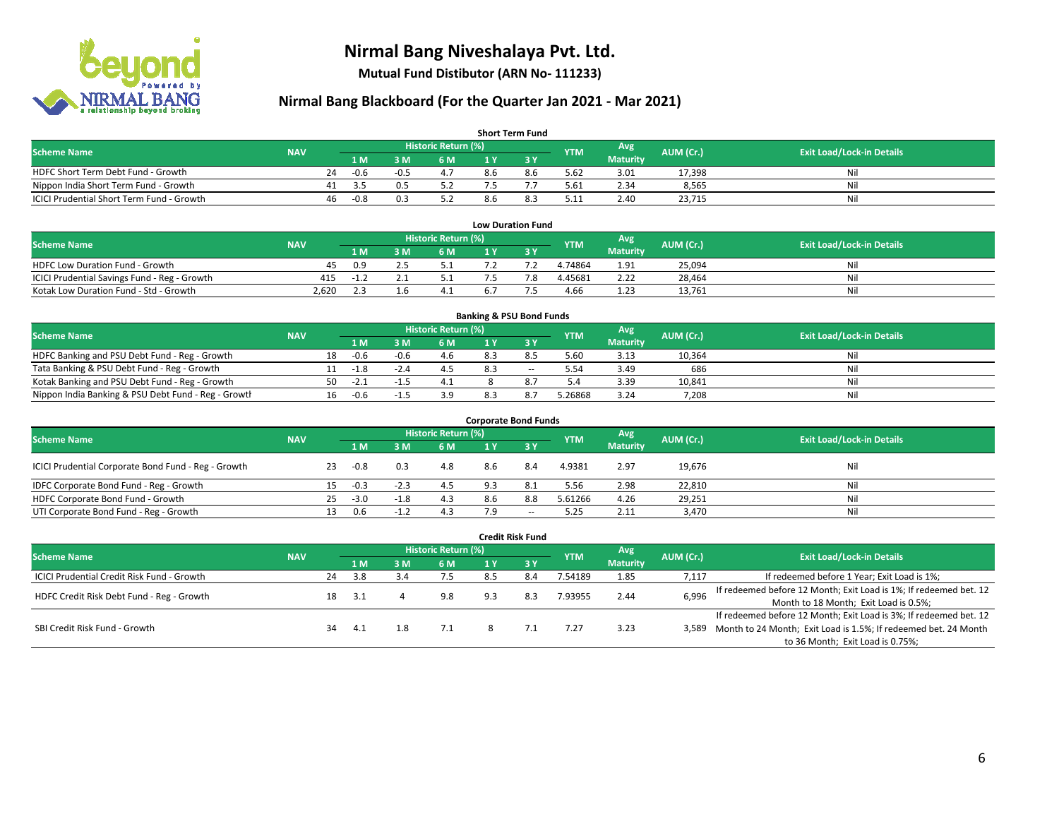

**Mutual Fund Distibutor (ARN No- 111233)**

| <b>Short Term Fund</b>                           |            |    |        |      |                     |     |     |            |                 |           |                                  |  |  |  |
|--------------------------------------------------|------------|----|--------|------|---------------------|-----|-----|------------|-----------------|-----------|----------------------------------|--|--|--|
| <b>Scheme Name</b>                               | <b>NAV</b> |    |        |      | Historic Return (%) |     |     | <b>YTM</b> | Avg             | AUM (Cr.) | <b>Exit Load/Lock-in Details</b> |  |  |  |
|                                                  |            |    | 1 M    | 8 M  | 6 M                 |     |     |            | <b>Maturity</b> |           |                                  |  |  |  |
| HDFC Short Term Debt Fund - Growth               |            | 24 | $-0.6$ | $-1$ | 4.7                 | 8.6 | 8.6 | 5.62       | 3.01            | 17,398    | Nil                              |  |  |  |
| Nippon India Short Term Fund - Growth            |            |    | 35     |      |                     |     |     | 5.61       | 2.34            | 8,565     | Nil                              |  |  |  |
| <b>ICICI Prudential Short Term Fund - Growth</b> |            | 46 | $-0.8$ |      |                     | 8.6 |     | 5.11       | 2.40            | 23.715    | Nil                              |  |  |  |

| <b>Low Duration Fund</b>                     |            |      |  |                     |    |  |            |                 |           |                                  |  |  |  |
|----------------------------------------------|------------|------|--|---------------------|----|--|------------|-----------------|-----------|----------------------------------|--|--|--|
| <b>Scheme Name</b>                           | <b>NAV</b> |      |  | Historic Return (%) |    |  | <b>YTM</b> | Avg             | AUM (Cr.) | <b>Exit Load/Lock-in Details</b> |  |  |  |
|                                              |            | 1 M  |  | 6 M                 |    |  |            | <b>Maturity</b> |           |                                  |  |  |  |
| <b>HDFC Low Duration Fund - Growth</b>       | 45         | 0.9  |  |                     |    |  | 4.74864    | 1.91            | 25,094    | Nil                              |  |  |  |
| ICICI Prudential Savings Fund - Reg - Growth | 415        | $-1$ |  |                     |    |  | 4.45681    | 2.22            | 28,464    | Nil                              |  |  |  |
| Kotak Low Duration Fund - Std - Growth       | 2,620      |      |  |                     | h. |  | 4.66       | 1.23            | 13.761    | Nil                              |  |  |  |

| <b>Banking &amp; PSU Bond Funds</b>                 |            |    |        |        |                     |     |        |            |                 |           |                                  |  |  |
|-----------------------------------------------------|------------|----|--------|--------|---------------------|-----|--------|------------|-----------------|-----------|----------------------------------|--|--|
| <b>Scheme Name</b>                                  | <b>NAV</b> |    |        |        | Historic Return (%) |     |        | <b>YTM</b> | Avg             | AUM (Cr.) | <b>Exit Load/Lock-in Details</b> |  |  |
|                                                     |            |    | 1 M    | . M    | 6 M                 |     |        |            | <b>Maturity</b> |           |                                  |  |  |
| HDFC Banking and PSU Debt Fund - Reg - Growth       |            | 18 | $-0.6$ | $-0.6$ | 4.b                 | 8.3 |        | 5.60       | 3.13            | 10,364    | Nil                              |  |  |
| Tata Banking & PSU Debt Fund - Reg - Growth         |            |    | -1.8   | -2.4   |                     |     | $\sim$ | 5.54       | 3.49            | 686       | Nil                              |  |  |
| Kotak Banking and PSU Debt Fund - Reg - Growth      |            | 50 | -2.1   | -1     | 4.1                 |     | .      | 5.4        | 3.39            | 10.841    | Nil                              |  |  |
| Nippon India Banking & PSU Debt Fund - Reg - Growth |            | 16 | -0.6   | - 11   | 3.9                 | я з |        | .26868     | 3.24            | 7,208     | Nil                              |  |  |

| <b>Corporate Bond Funds</b>                         |            |    |        |        |                            |     |                          |            |                 |           |                                  |  |  |
|-----------------------------------------------------|------------|----|--------|--------|----------------------------|-----|--------------------------|------------|-----------------|-----------|----------------------------------|--|--|
| <b>Scheme Name</b>                                  | <b>NAV</b> |    |        |        | <b>Historic Return (%)</b> |     |                          | <b>YTM</b> | Avg             | AUM (Cr.) | <b>Exit Load/Lock-in Details</b> |  |  |
|                                                     |            |    | 1 M    | : M    | 6 M                        |     | 3 Y                      |            | <b>Maturity</b> |           |                                  |  |  |
| ICICI Prudential Corporate Bond Fund - Reg - Growth |            | 23 | $-0.8$ | 0.3    | 4.8                        | 8.6 | 8.4                      | 4.9381     | 2.97            | 19,676    | Nil                              |  |  |
| IDFC Corporate Bond Fund - Reg - Growth             |            | 15 | $-0.3$ | $-2.3$ | 4.5                        | 9.3 | -8.1                     | 5.56       | 2.98            | 22,810    | Nil                              |  |  |
| HDFC Corporate Bond Fund - Growth                   |            | 25 | $-3.0$ | $-1.8$ | 4.3                        | 8.6 | 8.8                      | 5.61266    | 4.26            | 29,251    | Nil                              |  |  |
| UTI Corporate Bond Fund - Reg - Growth              |            |    | U.b    | ء.1-   | 4.3                        | 7.9 | $\overline{\phantom{a}}$ | 5.25       | 2.11            | 3,470     | Nil                              |  |  |

| <b>Credit Risk Fund</b>                    |            |    |      |     |                            |     |              |            |                        |           |                                                                       |  |  |
|--------------------------------------------|------------|----|------|-----|----------------------------|-----|--------------|------------|------------------------|-----------|-----------------------------------------------------------------------|--|--|
| <b>Scheme Name</b>                         | <b>NAV</b> |    |      |     | <b>Historic Return (%)</b> |     |              | <b>YTM</b> | Avg<br><b>Maturity</b> | AUM (Cr.) | <b>Exit Load/Lock-in Details</b>                                      |  |  |
|                                            |            |    | 1 M  | M   | 6 M                        |     | $\sqrt{3}$ V |            |                        |           |                                                                       |  |  |
| ICICI Prudential Credit Risk Fund - Growth |            | 24 | 3.8  | 3.4 | 7.5                        | 8.5 | 8.4          | 7.54189    | 1.85                   | 7,117     | If redeemed before 1 Year; Exit Load is 1%;                           |  |  |
| HDFC Credit Risk Debt Fund - Reg - Growth  |            | 18 |      |     | 9.8                        | 9.3 | 8.3          | 7.93955    | 2.44                   | 6,996     | If redeemed before 12 Month; Exit Load is 1%; If redeemed bet. 12     |  |  |
|                                            |            |    | -3.1 |     |                            |     |              |            |                        |           | Month to 18 Month; Exit Load is 0.5%;                                 |  |  |
|                                            |            |    |      |     |                            |     |              |            |                        |           | If redeemed before 12 Month; Exit Load is 3%; If redeemed bet. 12     |  |  |
| SBI Credit Risk Fund - Growth              |            | 34 | 4.1  |     | 7.1                        |     |              | 7.27       | 3.23                   |           | 3,589 Month to 24 Month; Exit Load is 1.5%; If redeemed bet. 24 Month |  |  |
|                                            |            |    |      |     |                            |     |              |            |                        |           | to 36 Month; Exit Load is 0.75%;                                      |  |  |